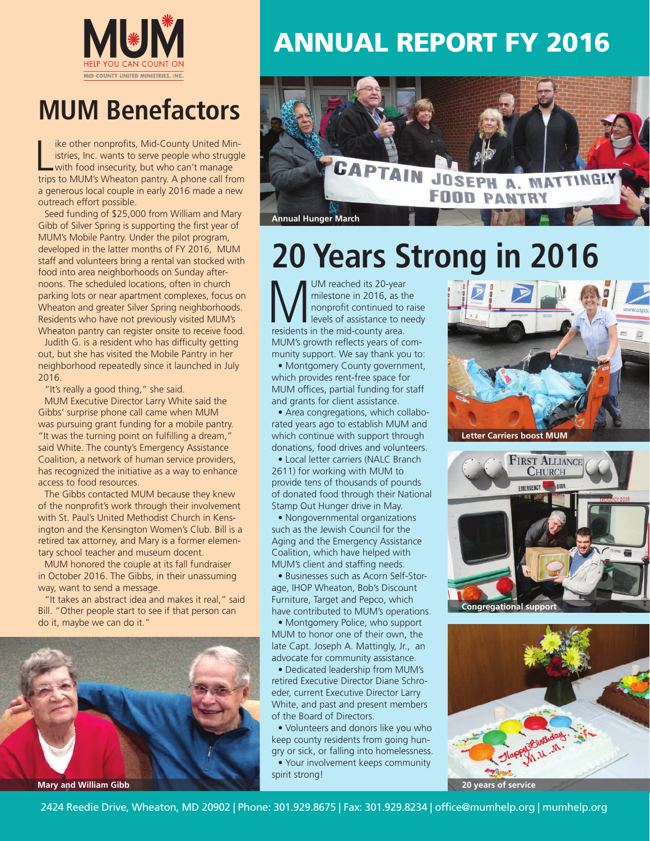

## **MUM Benefactors**

like other nonprofits, Mid-County United Ministries, Inc. wants to serve people who struggle<br>with food insecurity, but who can't manage<br>trips to MUM's Wheaton pantry. A phone call from ike other nonprofits, Mid-County United Ministries, Inc. wants to serve people who struggle with food insecurity, but who can't manage a generous local couple in early 2016 made a new outreach effort possible.

Seed funding of \$25,000 from William and Mary Gibb of Silver Spring is supporting the first year of MUM's Mobile Pantry. Under the pilot program, developed in the latter months of FY 2016, MUM staff and volunteers bring a rental van stocked with food into area neighborhoods on Sunday afternoons. The scheduled locations, often in church parking lots or near apartment complexes, focus on Wheaton and greater Silver Spring neighborhoods. Residents who have not previously visited MUM's Wheaton pantry can register onsite to receive food.

Judith G. is a resident who has difficulty getting out, but she has visited the Mobile Pantry in her neighborhood repeatedly since it launched in July 2016.

"It's really a good thing," she said.

MUM Executive Director Larry White said the Gibbs' surprise phone call came when MUM was pursuing grant funding for a mobile pantry. "It was the turning point on fulfilling a dream," said White. The county's Emergency Assistance Coalition, a network of human service providers, has recognized the initiative as a way to enhance access to food resources.

The Gibbs contacted MUM because they knew of the nonprofit's work through their involvement with St. Paul's United Methodist Church in Kensington and the Kensington Women's Club. Bill is a retired tax attorney, and Mary is a former elementary school teacher and museum docent.

MUM honored the couple at its fall fundraiser in October 2016. The Gibbs, in their unassuming way, want to send a message.

"It takes an abstract idea and makes it real," said Bill. "Other people start to see if that person can do it, maybe we can do it."



## ANNUAL REPORT FY 2016



# **20 Years Strong in 2016**

MUM reached its 20-year milestone in 2016, as the nonprofit continued to residents in the mid-county area. milestone in 2016, as the nonprofit continued to raise levels of assistance to needy MUM's growth reflects years of community support. We say thank you to:

• Montgomery County government, which provides rent-free space for MUM offices, partial funding for staff and grants for client assistance.

• Area congregations, which collaborated years ago to establish MUM and which continue with support through donations, food drives and volunteers.

• Local letter carriers (NALC Branch 2611) for working with MUM to provide tens of thousands of pounds of donated food through their National Stamp Out Hunger drive in May.

• Nongovernmental organizations such as the Jewish Council for the Aging and the Emergency Assistance Coalition, which have helped with MUM's client and staffing needs.

• Businesses such as Acorn Self-Storage, IHOP Wheaton, Bob's Discount Furniture, Target and Pepco, which have contributed to MUM's operations.

• Montgomery Police, who support MUM to honor one of their own, the late Capt. Joseph A. Mattingly, Jr., an advocate for community assistance.

• Dedicated leadership from MUM's retired Executive Director Diane Schroeder, current Executive Director Larry White, and past and present members of the Board of Directors.

• Volunteers and donors like you who keep county residents from going hungry or sick, or falling into homelessness.

• Your involvement keeps community spirit strong!



**Letter Carriers boost MUM**





2424 Reedie Drive, Wheaton, MD 20902 | Phone: 301.929.8675 | Fax: 301.929.8234 | office@mumhelp.org | mumhelp.org